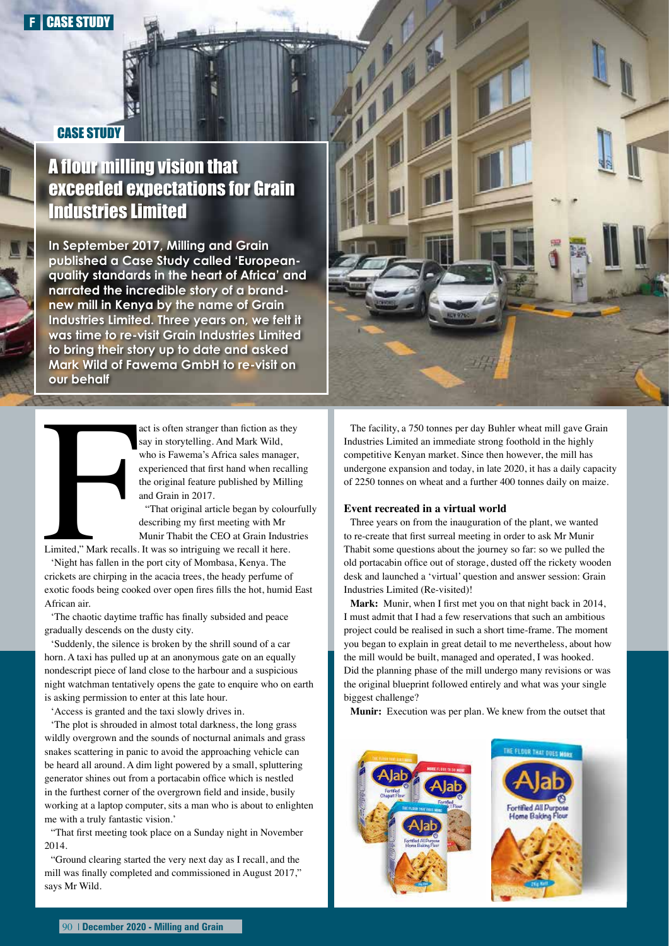## CASE STUDY

## A flour milling vision that exceeded expectations for Grain Industries Limited

**In September 2017, Milling and Grain published a Case Study called 'Europeanquality standards in the heart of Africa' and narrated the incredible story of a brandnew mill in Kenya by the name of Grain Industries Limited. Three years on, we felt it was time to re-visit Grain Industries Limited to bring their story up to date and asked Mark Wild of Fawema GmbH to re-visit on our behalf**

> act is often stranger than fiction as they say in storytelling. And Mark Wild, who is Fawema's Africa sales manager, experienced that first hand when recalling the original feature published by Milling and Grain in 2017.

"That original article began by colourfully describing my first meeting with Mr Munir Thabit the CEO at Grain Industries

Limited," Mark recalls. It was so intriguing we recall it here.

Limited," Mark recalls.<br>
'Night has fallen in the<br>
crickets are chirping in 'Night has fallen in the port city of Mombasa, Kenya. The crickets are chirping in the acacia trees, the heady perfume of exotic foods being cooked over open fires fills the hot, humid East African air.

'The chaotic daytime traffic has finally subsided and peace gradually descends on the dusty city.

'Suddenly, the silence is broken by the shrill sound of a car horn. A taxi has pulled up at an anonymous gate on an equally nondescript piece of land close to the harbour and a suspicious night watchman tentatively opens the gate to enquire who on earth is asking permission to enter at this late hour.

'Access is granted and the taxi slowly drives in.

'The plot is shrouded in almost total darkness, the long grass wildly overgrown and the sounds of nocturnal animals and grass snakes scattering in panic to avoid the approaching vehicle can be heard all around. A dim light powered by a small, spluttering generator shines out from a portacabin office which is nestled in the furthest corner of the overgrown field and inside, busily working at a laptop computer, sits a man who is about to enlighten me with a truly fantastic vision.'

"That first meeting took place on a Sunday night in November 2014.

"Ground clearing started the very next day as I recall, and the mill was finally completed and commissioned in August 2017," says Mr Wild.



The facility, a 750 tonnes per day Buhler wheat mill gave Grain Industries Limited an immediate strong foothold in the highly competitive Kenyan market. Since then however, the mill has undergone expansion and today, in late 2020, it has a daily capacity of 2250 tonnes on wheat and a further 400 tonnes daily on maize.

## **Event recreated in a virtual world**

Three years on from the inauguration of the plant, we wanted to re-create that first surreal meeting in order to ask Mr Munir Thabit some questions about the journey so far: so we pulled the old portacabin office out of storage, dusted off the rickety wooden desk and launched a 'virtual' question and answer session: Grain Industries Limited (Re-visited)!

**Mark:** Munir, when I first met you on that night back in 2014, I must admit that I had a few reservations that such an ambitious project could be realised in such a short time-frame. The moment you began to explain in great detail to me nevertheless, about how the mill would be built, managed and operated, I was hooked. Did the planning phase of the mill undergo many revisions or was the original blueprint followed entirely and what was your single biggest challenge?

**Munir:** Execution was per plan. We knew from the outset that

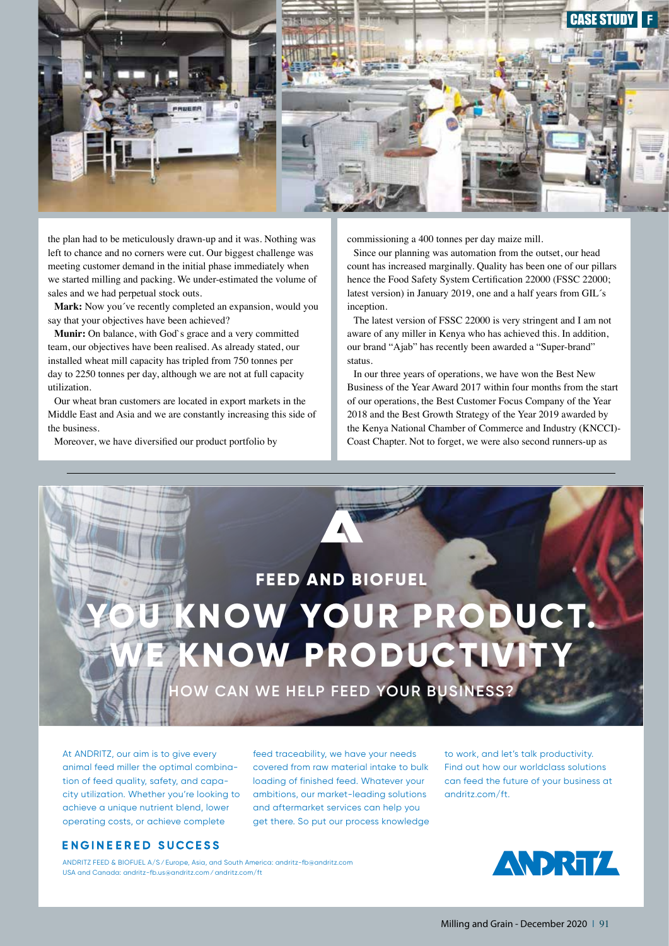

the plan had to be meticulously drawn-up and it was. Nothing was left to chance and no corners were cut. Our biggest challenge was meeting customer demand in the initial phase immediately when we started milling and packing. We under-estimated the volume of sales and we had perpetual stock outs.

Mark: Now you've recently completed an expansion, would you say that your objectives have been achieved?

**Munir:** On balance, with God`s grace and a very committed team, our objectives have been realised. As already stated, our installed wheat mill capacity has tripled from 750 tonnes per day to 2250 tonnes per day, although we are not at full capacity utilization.

Our wheat bran customers are located in export markets in the Middle East and Asia and we are constantly increasing this side of the business.

Moreover, we have diversified our product portfolio by

commissioning a 400 tonnes per day maize mill.

Since our planning was automation from the outset, our head count has increased marginally. Quality has been one of our pillars hence the Food Safety System Certification 22000 (FSSC 22000; latest version) in January 2019, one and a half years from GIL´s inception.

The latest version of FSSC 22000 is very stringent and I am not aware of any miller in Kenya who has achieved this. In addition, our brand "Ajab" has recently been awarded a "Super-brand" status.

In our three years of operations, we have won the Best New Business of the Year Award 2017 within four months from the start of our operations, the Best Customer Focus Company of the Year 2018 and the Best Growth Strategy of the Year 2019 awarded by the Kenya National Chamber of Commerce and Industry (KNCCI)- Coast Chapter. Not to forget, we were also second runners-up as